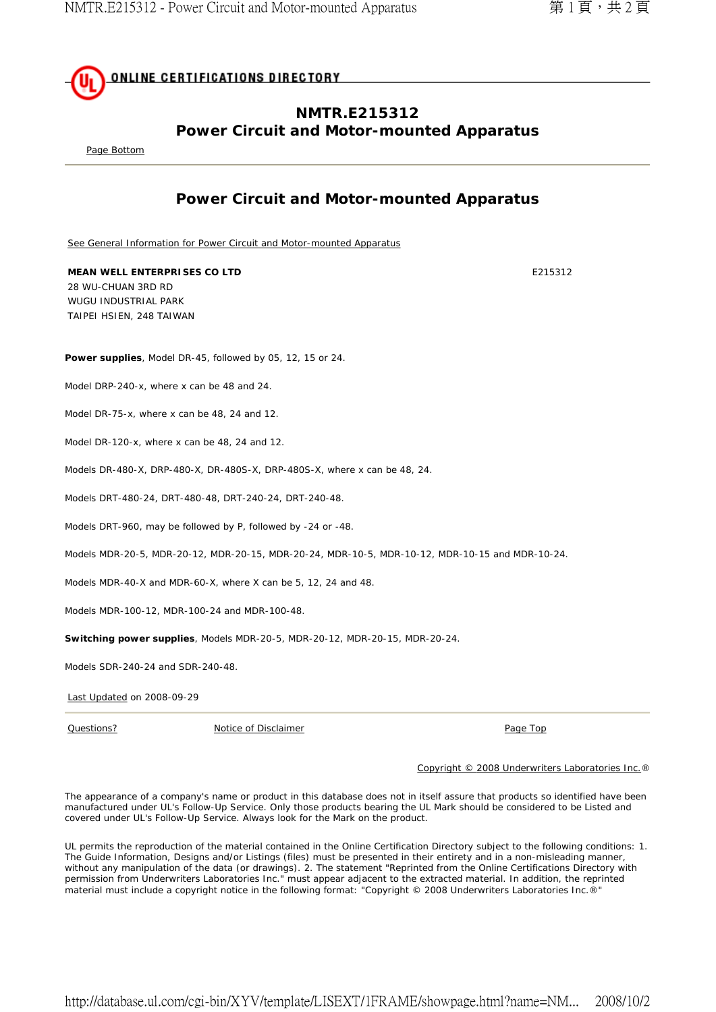

## **NMTR.E215312 Power Circuit and Motor-mounted Apparatus**

Page Bottom

## **Power Circuit and Motor-mounted Apparatus**

See General Information for Power Circuit and Motor-mounted Apparatus

**MEAN WELL ENTERPRISES CO LTD E215312** 28 WU-CHUAN 3RD RD WUGU INDUSTRIAL PARK TAIPEI HSIEN, 248 TAIWAN

**Power supplies**, Model DR-45, followed by 05, 12, 15 or 24.

Model DRP-240-x, where x can be 48 and 24.

Model DR-75-x, where x can be 48, 24 and 12.

Model DR-120-x, where x can be 48, 24 and 12.

Models DR-480-X, DRP-480-X, DR-480S-X, DRP-480S-X, where x can be 48, 24.

Models DRT-480-24, DRT-480-48, DRT-240-24, DRT-240-48.

Models DRT-960, may be followed by P, followed by -24 or -48.

Models MDR-20-5, MDR-20-12, MDR-20-15, MDR-20-24, MDR-10-5, MDR-10-12, MDR-10-15 and MDR-10-24.

Models MDR-40-X and MDR-60-X, where X can be 5, 12, 24 and 48.

Models MDR-100-12, MDR-100-24 and MDR-100-48.

**Switching power supplies**, Models MDR-20-5, MDR-20-12, MDR-20-15, MDR-20-24.

Models SDR-240-24 and SDR-240-48.

Last Updated on 2008-09-29

Questions? Notice of Disclaimer Page Top

Copyright © 2008 Underwriters Laboratories Inc.®

The appearance of a company's name or product in this database does not in itself assure that products so identified have been manufactured under UL's Follow-Up Service. Only those products bearing the UL Mark should be considered to be Listed and covered under UL's Follow-Up Service. Always look for the Mark on the product.

UL permits the reproduction of the material contained in the Online Certification Directory subject to the following conditions: 1. The Guide Information, Designs and/or Listings (files) must be presented in their entirety and in a non-misleading manner, without any manipulation of the data (or drawings). 2. The statement "Reprinted from the Online Certifications Directory with permission from Underwriters Laboratories Inc." must appear adjacent to the extracted material. In addition, the reprinted material must include a copyright notice in the following format: "Copyright © 2008 Underwriters Laboratories Inc.®"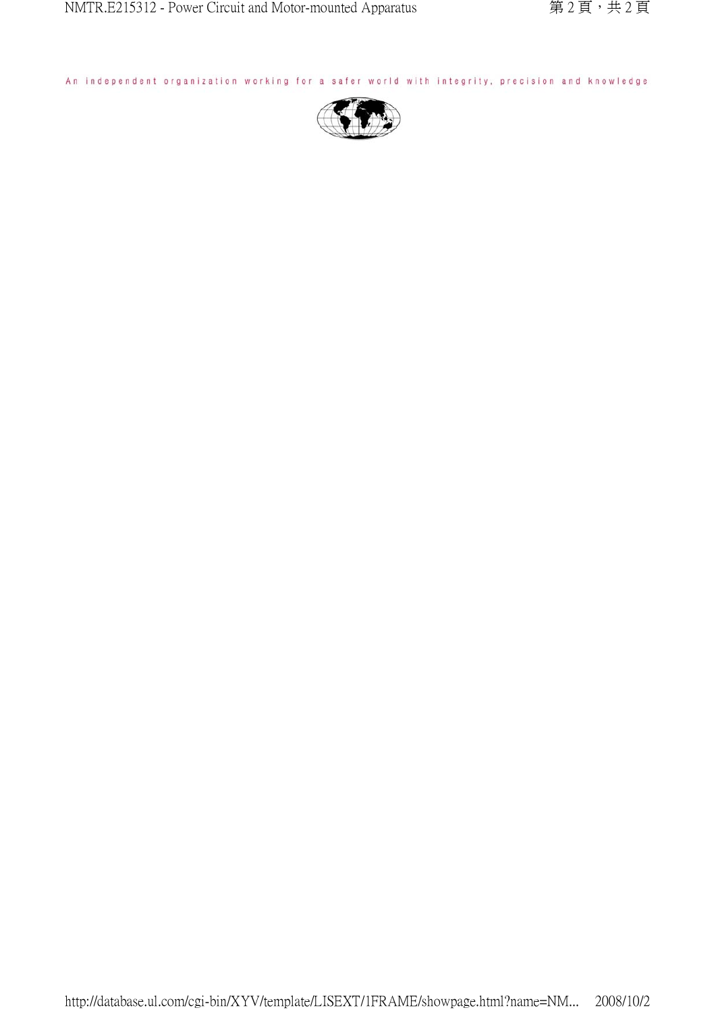An independent organization working for a safer world with integrity, precision and knowledge.

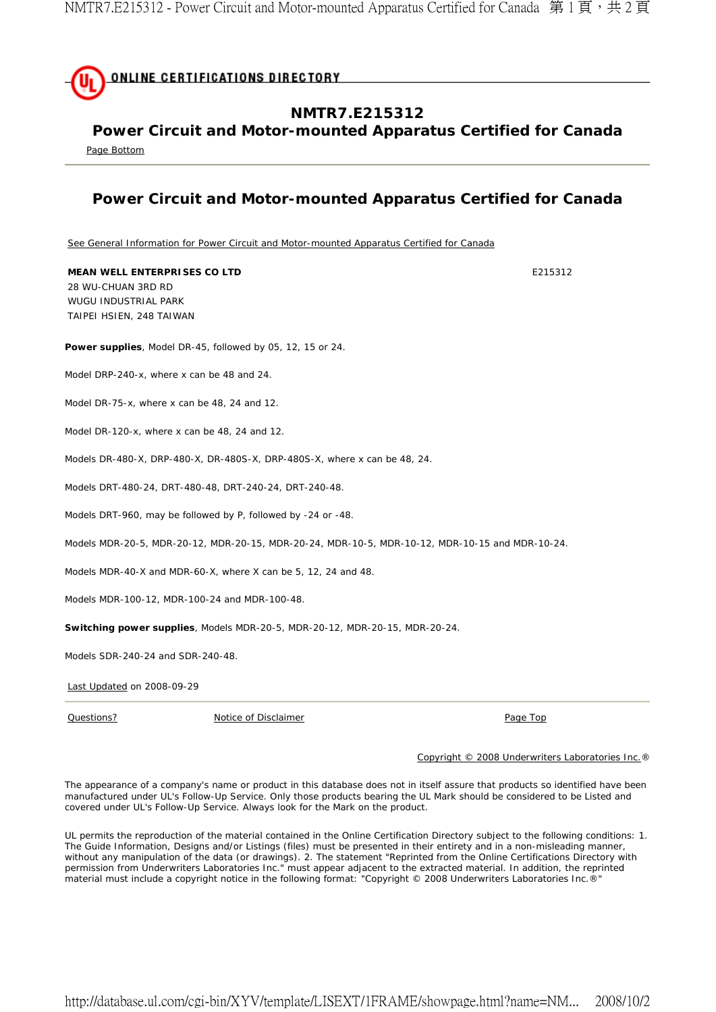

**Power Circuit and Motor-mounted Apparatus Certified for Canada** 

Page Bottom

## **Power Circuit and Motor-mounted Apparatus Certified for Canada**

See General Information for Power Circuit and Motor-mounted Apparatus Certified for Canada

**Power supplies**, Model DR-45, followed by 05, 12, 15 or 24. Model DRP-240-x, where x can be 48 and 24. Model DR-75-x, where x can be 48, 24 and 12. Model DR-120-x, where x can be 48, 24 and 12. Models DR-480-X, DRP-480-X, DR-480S-X, DRP-480S-X, where x can be 48, 24. Models DRT-480-24, DRT-480-48, DRT-240-24, DRT-240-48. Models DRT-960, may be followed by P, followed by -24 or -48. Models MDR-20-5, MDR-20-12, MDR-20-15, MDR-20-24, MDR-10-5, MDR-10-12, MDR-10-15 and MDR-10-24. Models MDR-40-X and MDR-60-X, where X can be 5, 12, 24 and 48. Models MDR-100-12, MDR-100-24 and MDR-100-48. **Switching power supplies**, Models MDR-20-5, MDR-20-12, MDR-20-15, MDR-20-24. Models SDR-240-24 and SDR-240-48. **MEAN WELL ENTERPRISES CO LTD E215312** 28 WU-CHUAN 3RD RD WUGU INDUSTRIAL PARK TAIPEI HSIEN, 248 TAIWAN

Last Updated on 2008-09-29

Questions? Notice of Disclaimer Page Top

## Copyright © 2008 Underwriters Laboratories Inc.®

The appearance of a company's name or product in this database does not in itself assure that products so identified have been manufactured under UL's Follow-Up Service. Only those products bearing the UL Mark should be considered to be Listed and covered under UL's Follow-Up Service. Always look for the Mark on the product.

UL permits the reproduction of the material contained in the Online Certification Directory subject to the following conditions: 1. The Guide Information, Designs and/or Listings (files) must be presented in their entirety and in a non-misleading manner, without any manipulation of the data (or drawings). 2. The statement "Reprinted from the Online Certifications Directory with permission from Underwriters Laboratories Inc." must appear adjacent to the extracted material. In addition, the reprinted material must include a copyright notice in the following format: "Copyright © 2008 Underwriters Laboratories Inc.®"